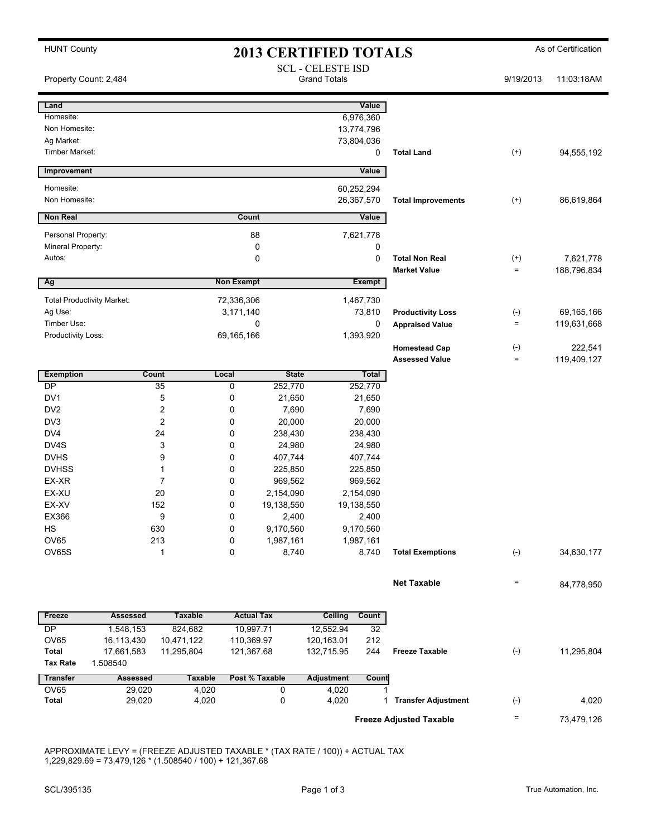| <b>HUNT County</b><br><b>2013 CERTIFIED TOTALS</b> |                                   |                                     |                                                 |                |                   | As of Certification       |                                               |                            |                        |
|----------------------------------------------------|-----------------------------------|-------------------------------------|-------------------------------------------------|----------------|-------------------|---------------------------|-----------------------------------------------|----------------------------|------------------------|
| Property Count: 2,484                              |                                   |                                     | <b>SCL - CELESTE ISD</b><br><b>Grand Totals</b> |                |                   |                           | 9/19/2013                                     | 11:03:18AM                 |                        |
| Land                                               |                                   |                                     |                                                 |                |                   | Value                     |                                               |                            |                        |
| Homesite:                                          |                                   |                                     |                                                 |                |                   | 6,976,360                 |                                               |                            |                        |
| Non Homesite:                                      |                                   |                                     |                                                 |                |                   | 13,774,796                |                                               |                            |                        |
| Ag Market:                                         |                                   |                                     |                                                 |                |                   | 73,804,036                |                                               |                            |                        |
| <b>Timber Market:</b>                              |                                   |                                     |                                                 |                |                   | 0                         | <b>Total Land</b>                             | $^{(+)}$                   | 94,555,192             |
| Improvement                                        |                                   |                                     |                                                 |                |                   | Value                     |                                               |                            |                        |
| Homesite:                                          |                                   |                                     |                                                 |                |                   | 60,252,294                |                                               |                            |                        |
| Non Homesite:                                      |                                   |                                     | 26,367,570                                      |                |                   | <b>Total Improvements</b> | $(+)$                                         | 86,619,864                 |                        |
| <b>Non Real</b>                                    |                                   |                                     | Count                                           |                |                   | Value                     |                                               |                            |                        |
| Personal Property:                                 |                                   |                                     | 88                                              |                | 7,621,778         |                           |                                               |                            |                        |
| Mineral Property:                                  |                                   |                                     |                                                 | 0              |                   | 0                         |                                               |                            |                        |
| Autos:                                             |                                   |                                     |                                                 | 0              |                   | 0                         | <b>Total Non Real</b>                         | $^{(+)}$                   | 7,621,778              |
|                                                    |                                   |                                     |                                                 |                |                   | <b>Exempt</b>             | <b>Market Value</b>                           | $\qquad \qquad =$          | 188,796,834            |
| Ag                                                 |                                   |                                     | <b>Non Exempt</b>                               |                |                   |                           |                                               |                            |                        |
|                                                    | <b>Total Productivity Market:</b> |                                     | 72,336,306                                      |                |                   | 1,467,730                 |                                               |                            |                        |
| Ag Use:                                            |                                   |                                     | 3,171,140                                       |                |                   | 73,810                    | <b>Productivity Loss</b>                      | $(-)$                      | 69,165,166             |
| Timber Use:                                        |                                   |                                     | 0                                               |                |                   | $\mathbf 0$               | <b>Appraised Value</b>                        | $=$                        | 119,631,668            |
| Productivity Loss:                                 |                                   |                                     | 69,165,166                                      |                |                   | 1,393,920                 |                                               |                            |                        |
|                                                    |                                   |                                     |                                                 |                |                   |                           | <b>Homestead Cap</b><br><b>Assessed Value</b> | $(-)$<br>$\qquad \qquad =$ | 222,541<br>119,409,127 |
| <b>Exemption</b>                                   |                                   | Count                               | Local                                           | <b>State</b>   |                   | Total                     |                                               |                            |                        |
| DP                                                 |                                   | 35                                  | 0                                               | 252,770        |                   | 252,770                   |                                               |                            |                        |
| DV1                                                |                                   | 5                                   | 0                                               | 21,650         | 21,650            |                           |                                               |                            |                        |
| DV <sub>2</sub>                                    |                                   | $\overline{\mathbf{c}}$             | 0                                               | 7,690          | 7,690             |                           |                                               |                            |                        |
| DV3                                                |                                   | $\overline{2}$                      | 0                                               | 20,000         | 20,000            |                           |                                               |                            |                        |
| DV <sub>4</sub>                                    |                                   | 24                                  | 0                                               | 238,430        |                   | 238,430                   |                                               |                            |                        |
| DV4S                                               |                                   | 3                                   | 0                                               | 24,980         |                   | 24,980                    |                                               |                            |                        |
| <b>DVHS</b>                                        |                                   | 9                                   | 0                                               | 407,744        |                   | 407,744                   |                                               |                            |                        |
| <b>DVHSS</b>                                       |                                   | 1                                   | 0                                               | 225,850        |                   | 225,850                   |                                               |                            |                        |
| EX-XR                                              |                                   | 7                                   | 0                                               | 969,562        | 969,562           |                           |                                               |                            |                        |
| EX-XU                                              |                                   | 20                                  | 0                                               | 2,154,090      |                   | 2,154,090                 |                                               |                            |                        |
| EX-XV                                              |                                   | 152                                 | 0                                               | 19,138,550     |                   | 19,138,550                |                                               |                            |                        |
| EX366                                              |                                   | 9                                   | 0                                               | 2,400          |                   | 2,400                     |                                               |                            |                        |
| HS                                                 |                                   | 630                                 | 0                                               | 9,170,560      |                   | 9,170,560                 |                                               |                            |                        |
| OV65                                               |                                   | 213                                 | 0                                               | 1,987,161      |                   | 1,987,161                 |                                               |                            |                        |
| OV65S                                              |                                   | 1                                   | 0                                               | 8,740          |                   | 8,740                     | <b>Total Exemptions</b>                       | $(-)$                      | 34,630,177             |
|                                                    |                                   |                                     |                                                 |                |                   |                           | <b>Net Taxable</b>                            | $\qquad \qquad =$          | 84,778,950             |
|                                                    |                                   |                                     |                                                 |                |                   |                           |                                               |                            |                        |
| Freeze                                             | <b>Assessed</b>                   | <b>Taxable</b><br><b>Actual Tax</b> |                                                 | <b>Ceiling</b> | Count             |                           |                                               |                            |                        |
| DP                                                 | 1,548,153                         | 824,682                             | 10,997.71                                       |                | 12,552.94         | 32                        |                                               |                            |                        |
| OV65                                               | 16,113,430                        | 10,471,122                          | 110,369.97                                      |                | 120,163.01        | 212                       |                                               |                            |                        |
| <b>Total</b>                                       | 17,661,583                        | 11,295,804                          | 121,367.68                                      |                | 132,715.95        | 244                       | <b>Freeze Taxable</b>                         | $(-)$                      | 11,295,804             |
| <b>Tax Rate</b>                                    | 1.508540                          |                                     |                                                 |                |                   |                           |                                               |                            |                        |
| <b>Transfer</b>                                    | Assessed                          | <b>Taxable</b>                      |                                                 | Post % Taxable | <b>Adjustment</b> | Count                     |                                               |                            |                        |
| OV65                                               | 29,020                            | 4,020                               |                                                 | 0              | 4,020             |                           |                                               |                            |                        |
| Total                                              | 29,020                            | 4,020                               |                                                 | 0              | 4,020             |                           | 1 Transfer Adjustment                         | $(-)$                      | 4,020                  |

APPROXIMATE LEVY = (FREEZE ADJUSTED TAXABLE \* (TAX RATE / 100)) + ACTUAL TAX 1,229,829.69 = 73,479,126 \* (1.508540 / 100) + 121,367.68

**Freeze Adjusted Taxable Freeze Adjusted Taxable Freeze Adjusted Taxable**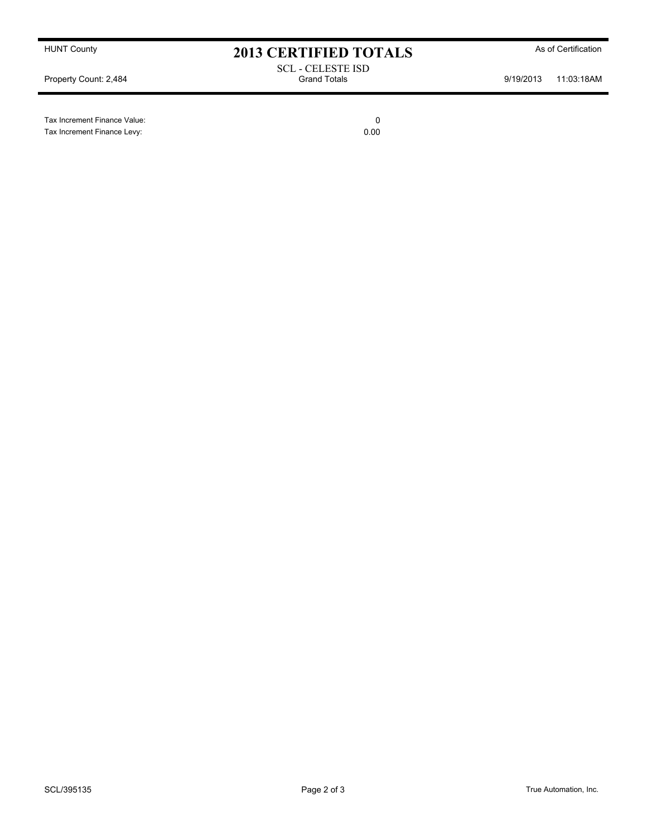Tax Increment Finance Value: 0

Tax Increment Finance Levy: 0.00

HUNT County **As of Certification 2013 CERTIFIED TOTALS** As of Certification

SCL - CELESTE ISD Property Count: 2,484 **Property Count: 2,484** Crand Totals **9/19/2013** 11:03:18AM